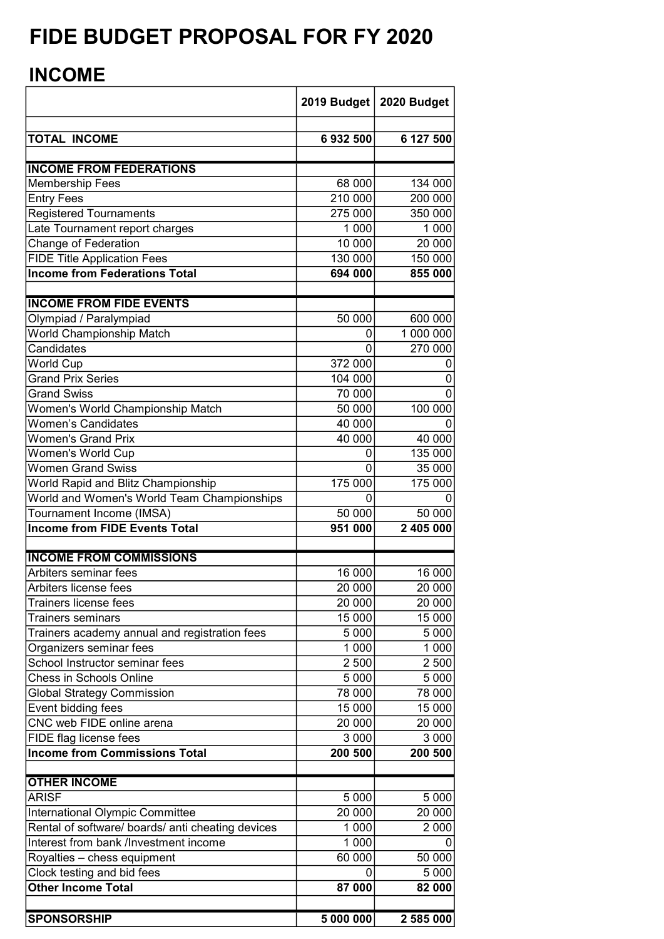## FIDE BUDGET PROPOSAL FOR FY 2020

## INCOME

|                                                                  | 2019 Budget | 2020 Budget         |
|------------------------------------------------------------------|-------------|---------------------|
| <b>TOTAL INCOME</b>                                              | 6932500     | 6 127 500           |
| <b>INCOME FROM FEDERATIONS</b>                                   |             |                     |
| <b>Membership Fees</b>                                           | 68 000      | 134 000             |
| <b>Entry Fees</b>                                                | 210 000     | 200 000             |
| <b>Registered Tournaments</b>                                    | 275 000     | 350 000             |
| Late Tournament report charges                                   | 1 0 0 0     | 1 0 0 0             |
| Change of Federation                                             | 10 000      | 20 000              |
| <b>FIDE Title Application Fees</b>                               | 130 000     | 150 000             |
| <b>Income from Federations Total</b>                             | 694 000     | 855 000             |
|                                                                  |             |                     |
| <b>INCOME FROM FIDE EVENTS</b>                                   |             |                     |
| Olympiad / Paralympiad                                           | 50 000      | 600 000             |
| World Championship Match                                         | 0           | 1 000 000           |
| Candidates                                                       | 0           | 270 000             |
| World Cup                                                        | 372 000     | 0                   |
| <b>Grand Prix Series</b>                                         | 104 000     | 0                   |
| <b>Grand Swiss</b>                                               | 70 000      | 0                   |
| Women's World Championship Match                                 | 50 000      | 100 000             |
| <b>Women's Candidates</b>                                        | 40 000      |                     |
| <b>Women's Grand Prix</b>                                        | 40 000      | 40 000              |
| <b>Women's World Cup</b><br><b>Women Grand Swiss</b>             | 0<br>0      | 135 000             |
|                                                                  | 175 000     | 35 000<br>175 000   |
| World Rapid and Blitz Championship                               |             |                     |
| World and Women's World Team Championships                       | 50 000      |                     |
| Tournament Income (IMSA)<br><b>Income from FIDE Events Total</b> |             | 50 000<br>2 405 000 |
|                                                                  | 951 000     |                     |
| <b>INCOME FROM COMMISSIONS</b>                                   |             |                     |
| Arbiters seminar fees                                            | 16 000      | 16 000              |
| Arbiters license fees                                            | 20 000      | 20 000              |
| <b>Trainers license fees</b>                                     | 20 000      | 20 000              |
| <b>Trainers seminars</b>                                         | 15 000      | 15 000              |
| Trainers academy annual and registration fees                    | 5 0 0 0     | 5 0 0 0             |
| Organizers seminar fees                                          | 1 0 0 0     | 1 0 0 0             |
| School Instructor seminar fees                                   | 2 500       | 2 500               |
| <b>Chess in Schools Online</b>                                   | 5 0 0 0     | 5 0 0 0             |
| <b>Global Strategy Commission</b>                                | 78 000      | 78 000              |
| Event bidding fees                                               | 15 000      | 15 000              |
| CNC web FIDE online arena                                        | 20 000      | 20 000              |
| FIDE flag license fees                                           | 3 0 0 0     | 3 0 0 0             |
| <b>Income from Commissions Total</b>                             | 200 500     | 200 500             |
| <b>OTHER INCOME</b>                                              |             |                     |
| <b>ARISF</b>                                                     | 5 0 0 0     | 5 0 0 0             |
| International Olympic Committee                                  | 20 000      | 20 000              |
| Rental of software/ boards/ anti cheating devices                | 1 0 0 0     | 2 0 0 0             |
| Interest from bank /Investment income                            | 1 0 0 0     |                     |
| Royalties - chess equipment                                      | 60 000      | 50 000              |
| Clock testing and bid fees                                       | 0           | 5 0 0 0             |
| <b>Other Income Total</b>                                        | 87 000      | 82 000              |
|                                                                  |             |                     |
| <b>SPONSORSHIP</b>                                               | 5 000 000   | 2 585 000           |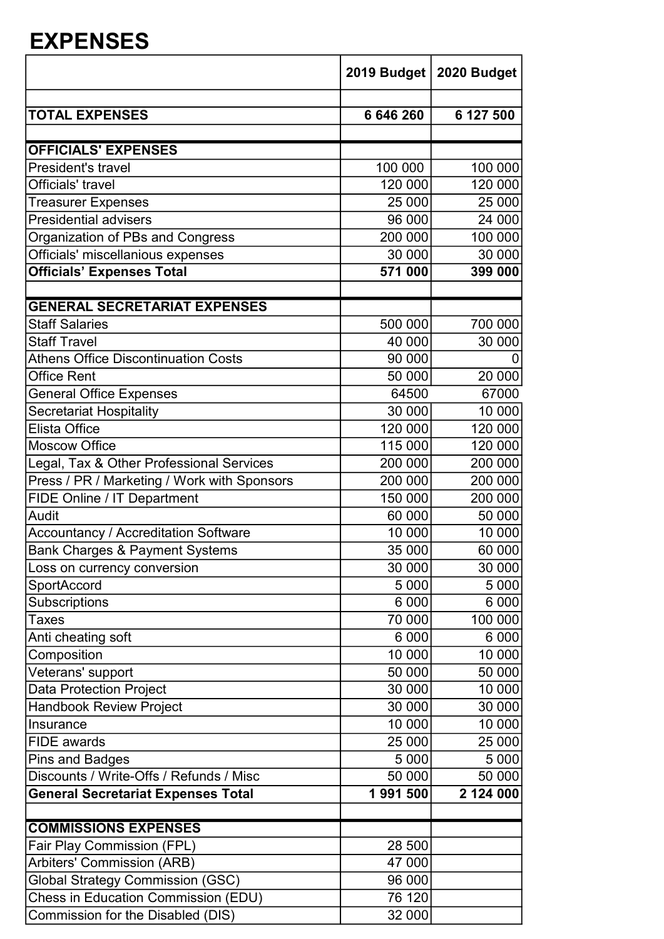## EXPENSES

|                                                                                          |           | 2019 Budget   2020 Budget |
|------------------------------------------------------------------------------------------|-----------|---------------------------|
| <b>TOTAL EXPENSES</b>                                                                    | 6 646 260 | 6 127 500                 |
|                                                                                          |           |                           |
| <b>OFFICIALS' EXPENSES</b>                                                               |           |                           |
| <b>President's travel</b>                                                                | 100 000   | 100 000                   |
| Officials' travel                                                                        | 120 000   | 120 000                   |
| <b>Treasurer Expenses</b>                                                                | 25 000    | 25 000                    |
| <b>Presidential advisers</b>                                                             | 96 000    | 24 000                    |
| Organization of PBs and Congress                                                         | 200 000   | 100 000                   |
| Officials' miscellanious expenses                                                        | 30 000    | 30 000                    |
| <b>Officials' Expenses Total</b>                                                         | 571 000   | 399 000                   |
| <b>GENERAL SECRETARIAT EXPENSES</b>                                                      |           |                           |
| <b>Staff Salaries</b>                                                                    | 500 000   | 700 000                   |
| <b>Staff Travel</b>                                                                      | 40 000    | 30 000                    |
| <b>Athens Office Discontinuation Costs</b>                                               | 90 000    | O                         |
| Office Rent                                                                              | 50 000    | 20 000                    |
| <b>General Office Expenses</b>                                                           | 64500     | 67000                     |
| <b>Secretariat Hospitality</b>                                                           | 30 000    | 10 000                    |
| Elista Office                                                                            | 120 000   | 120 000                   |
| <b>Moscow Office</b>                                                                     | 115 000   | 120 000                   |
| Legal, Tax & Other Professional Services                                                 | 200 000   | 200 000                   |
| Press / PR / Marketing / Work with Sponsors                                              | 200 000   | 200 000                   |
| FIDE Online / IT Department                                                              | 150 000   | 200 000                   |
| Audit                                                                                    | 60 000    | 50 000                    |
|                                                                                          | 10 000    | 10 000                    |
| <b>Accountancy / Accreditation Software</b><br><b>Bank Charges &amp; Payment Systems</b> |           |                           |
|                                                                                          | 35 000    | 60 000                    |
| Loss on currency conversion                                                              | 30 000    | 30 000                    |
| <b>SportAccord</b>                                                                       | 5 000     | 5 0 0 0                   |
| <b>Subscriptions</b>                                                                     | 6 0 0 0   | 6 0 0 0                   |
| Taxes                                                                                    | 70 000    | 100 000                   |
| Anti cheating soft                                                                       | 6 0 0 0   | 6 0 0 0                   |
| Composition                                                                              | 10 000    | 10 000                    |
| Veterans' support                                                                        | 50 000    | 50 000                    |
| <b>Data Protection Project</b>                                                           | 30 000    | 10 000                    |
| <b>Handbook Review Project</b>                                                           | 30 000    | 30 000                    |
| Insurance                                                                                | 10 000    | 10 000                    |
| <b>FIDE</b> awards                                                                       | 25 000    | 25 000                    |
| <b>Pins and Badges</b>                                                                   | 5 0 0 0   | 5 0 0 0                   |
| Discounts / Write-Offs / Refunds / Misc                                                  | 50 000    | 50 000                    |
| <b>General Secretariat Expenses Total</b>                                                | 1991500   | 2 124 000                 |
| <b>COMMISSIONS EXPENSES</b>                                                              |           |                           |
| Fair Play Commission (FPL)                                                               | 28 500    |                           |
| Arbiters' Commission (ARB)                                                               | 47 000    |                           |
| <b>Global Strategy Commission (GSC)</b>                                                  | 96 000    |                           |
| Chess in Education Commission (EDU)                                                      | 76 120    |                           |
|                                                                                          |           |                           |
| Commission for the Disabled (DIS)                                                        | 32 000    |                           |